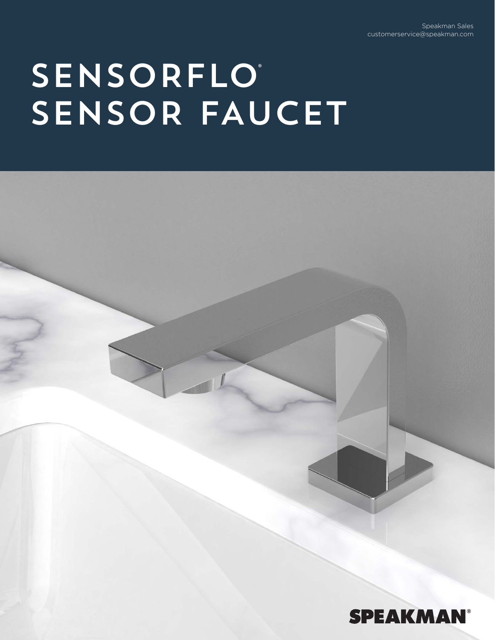Speakman Sales customerservice@speakman.com

## **SENSORFLO**® SENSOR FAUCET